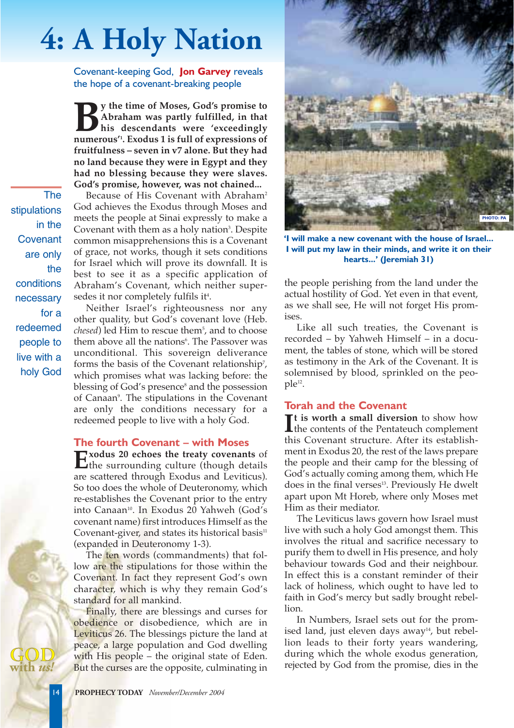# **4: A Holy Nation**

Covenant-keeping God, **Jon Garvey** reveals the hope of a covenant-breaking people

**By** the time of Moses, God's promise to<br>Abraham was partly fulfilled, in that<br>his descendants were 'exceedingly<br>numerous''. Exodus 1 is full of expressions of **Abraham was partly fulfilled, in that his descendants were 'exceedingly numerous'1 . Exodus 1 is full of expressions of fruitfulness – seven in v7 alone. But they had no land because they were in Egypt and they had no blessing because they were slaves. God's promise, however, was not chained...**

The stipulations in the Covenant are only the conditions necessary for a redeemed people to live with a holy God

Because of His Covenant with Abraham<sup>2</sup> God achieves the Exodus through Moses and meets the people at Sinai expressly to make a Covenant with them as a holy nation<sup>3</sup>. Despite common misapprehensions this is a Covenant of grace, not works, though it sets conditions for Israel which will prove its downfall. It is best to see it as a specific application of Abraham's Covenant, which neither supersedes it nor completely fulfils it<sup>4</sup>.

Neither Israel's righteousness nor any other quality, but God's covenant love (Heb. *chesed*) led Him to rescue them<sup>5</sup>, and to choose them above all the nations<sup>6</sup>. The Passover was unconditional. This sovereign deliverance forms the basis of the Covenant relationship<sup>7</sup>, which promises what was lacking before: the blessing of God's presence<sup>8</sup> and the possession of Canaan<sup>9</sup>. The stipulations in the Covenant are only the conditions necessary for a redeemed people to live with a holy God.

#### **The fourth Covenant – with Moses**

**Exodus 20 echoes the treaty covenants** of<br>the surrounding culture (though details are scattered through Exodus and Leviticus). So too does the whole of Deuteronomy, which re-establishes the Covenant prior to the entry into Canaan<sup>10</sup>. In Exodus 20 Yahweh (God's covenant name) first introduces Himself as the Covenant-giver, and states its historical basis $11$ (expanded in Deuteronomy 1-3).

The ten words (commandments) that follow are the stipulations for those within the Covenant. In fact they represent God's own character, which is why they remain God's standard for all mankind.

Finally, there are blessings and curses for obedience or disobedience, which are in Leviticus 26. The blessings picture the land at peace, a large population and God dwelling with His people – the original state of Eden. But the curses are the opposite, culminating in



**'I will make a new covenant with the house of Israel... I will put my law in their minds, and write it on their hearts...' (Jeremiah 31)**

the people perishing from the land under the actual hostility of God. Yet even in that event, as we shall see, He will not forget His promises.

Like all such treaties, the Covenant is recorded – by Yahweh Himself – in a document, the tables of stone, which will be stored as testimony in the Ark of the Covenant. It is solemnised by blood, sprinkled on the people12.

## **Torah and the Covenant**

 $\prod$ <sup>t</sup> is worth a small diversion to show how<br>the contents of the Pentateuch complement **t is worth a small diversion** to show how this Covenant structure. After its establishment in Exodus 20, the rest of the laws prepare the people and their camp for the blessing of God's actually coming among them, which He does in the final verses<sup>13</sup>. Previously He dwelt apart upon Mt Horeb, where only Moses met Him as their mediator.

The Leviticus laws govern how Israel must live with such a holy God amongst them. This involves the ritual and sacrifice necessary to purify them to dwell in His presence, and holy behaviour towards God and their neighbour. In effect this is a constant reminder of their lack of holiness, which ought to have led to faith in God's mercy but sadly brought rebellion.

In Numbers, Israel sets out for the promised land, just eleven days away $14$ , but rebellion leads to their forty years wandering, during which the whole exodus generation, rejected by God from the promise, dies in the

14 **PROPHECY TODAY** *November/December 2004*

**with** *us!*